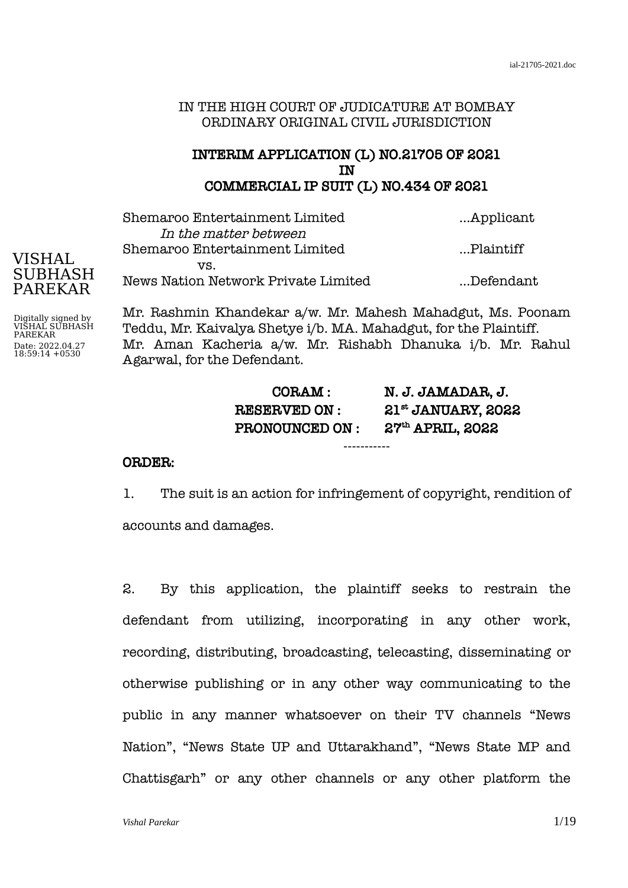### IN THE HIGH COURT OF JUDICATURE AT BOMBAY ORDINARY ORIGINAL CIVIL JURISDICTION

## INTERIM APPLICATION (L) NO.21705 OF 2021 IN COMMERCIAL IP SUIT (L) NO.434 OF 2021

| Shemaroo Entertainment Limited      | Applicant  |
|-------------------------------------|------------|
| In the matter between               |            |
| Shemaroo Entertainment Limited      | …Plaintiff |
| VS.                                 |            |
| News Nation Network Private Limited | Defendant  |
|                                     |            |

Mr. Rashmin Khandekar a/w. Mr. Mahesh Mahadgut, Ms. Poonam Teddu, Mr. Kaivalya Shetye i/b. MA. Mahadgut, for the Plaintiff. Mr. Aman Kacheria a/w. Mr. Rishabh Dhanuka i/b. Mr. Rahul Agarwal, for the Defendant.

| CORAM :               | N. J. JAMADAR, J.    |
|-----------------------|----------------------|
| <b>RESERVED ON:</b>   | $21st$ JANUARY, 2022 |
| <b>PRONOUNCED ON:</b> | $27th$ APRIL, $2022$ |

-----------

#### ORDER:

1. The suit is an action for infringement of copyright, rendition of accounts and damages.

2. By this application, the plaintiff seeks to restrain the defendant from utilizing, incorporating in any other work, recording, distributing, broadcasting, telecasting, disseminating or otherwise publishing or in any other way communicating to the public in any manner whatsoever on their TV channels "News Nation", "News State UP and Uttarakhand", "News State MP and Chattisgarh" or any other channels or any other platform the

# VISHAL SUBHASH PAREKAR

Digitally signed by VISHAL SUBHASH PAREKAR Date: 2022.04.27 18:59:14 +0530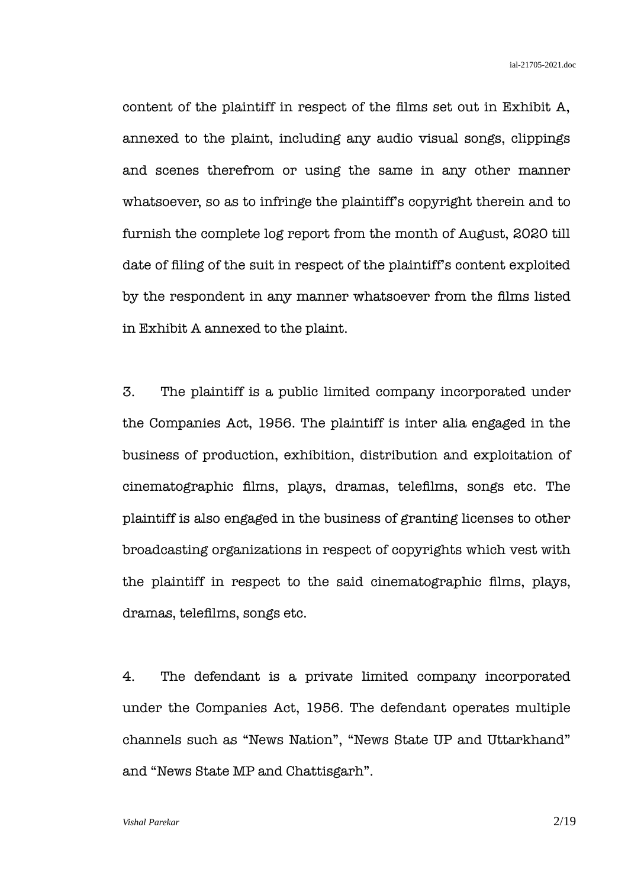content of the plaintiff in respect of the films set out in Exhibit A, annexed to the plaint, including any audio visual songs, clippings and scenes therefrom or using the same in any other manner whatsoever, so as to infringe the plaintiff's copyright therein and to furnish the complete log report from the month of August, 2020 till date of filing of the suit in respect of the plaintiff's content exploited by the respondent in any manner whatsoever from the films listed in Exhibit A annexed to the plaint.

3. The plaintiff is a public limited company incorporated under the Companies Act, 1956. The plaintiff is inter alia engaged in the business of production, exhibition, distribution and exploitation of cinematographic films, plays, dramas, telefilms, songs etc. The plaintiff is also engaged in the business of granting licenses to other broadcasting organizations in respect of copyrights which vest with the plaintiff in respect to the said cinematographic films, plays, dramas, telefilms, songs etc.

4. The defendant is a private limited company incorporated under the Companies Act, 1956. The defendant operates multiple channels such as "News Nation", "News State UP and Uttarkhand" and "News State MP and Chattisgarh".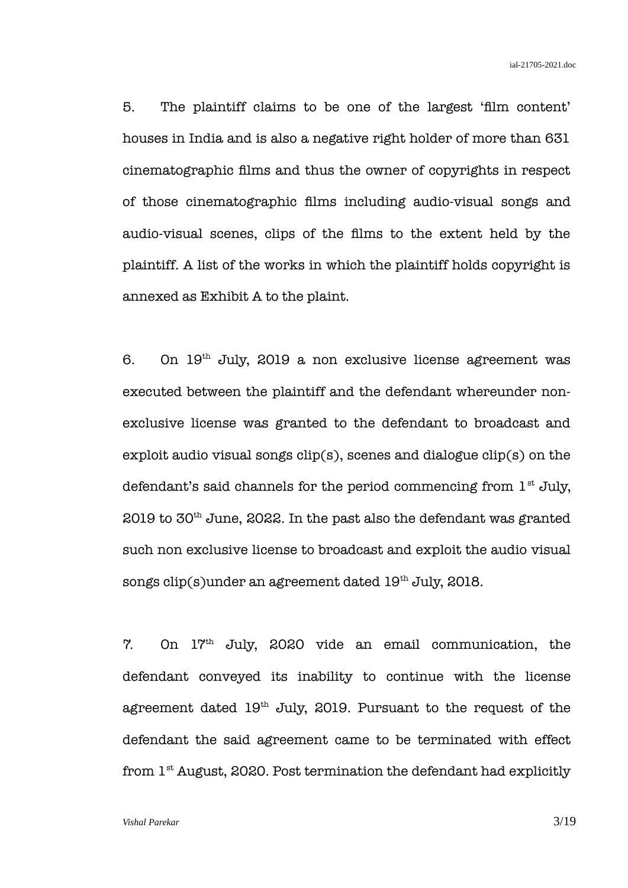5. The plaintiff claims to be one of the largest 'film content' houses in India and is also a negative right holder of more than 631 cinematographic films and thus the owner of copyrights in respect of those cinematographic films including audio-visual songs and audio-visual scenes, clips of the films to the extent held by the plaintiff. A list of the works in which the plaintiff holds copyright is annexed as Exhibit A to the plaint.

6. On  $19<sup>th</sup>$  July, 2019 a non exclusive license agreement was executed between the plaintiff and the defendant whereunder nonexclusive license was granted to the defendant to broadcast and exploit audio visual songs  $clip(s)$ , scenes and dialogue  $clip(s)$  on the defendant's said channels for the period commencing from  $1<sup>st</sup>$  July,  $2019$  to  $30<sup>th</sup>$  June,  $2022$ . In the past also the defendant was granted such non exclusive license to broadcast and exploit the audio visual songs clip(s)under an agreement dated  $19<sup>th</sup>$  July, 2018.

7. On 17th July, 2020 vide an email communication, the defendant conveyed its inability to continue with the license agreement dated  $19<sup>th</sup>$  July, 2019. Pursuant to the request of the defendant the said agreement came to be terminated with effect from  $1<sup>st</sup>$  August, 2020. Post termination the defendant had explicitly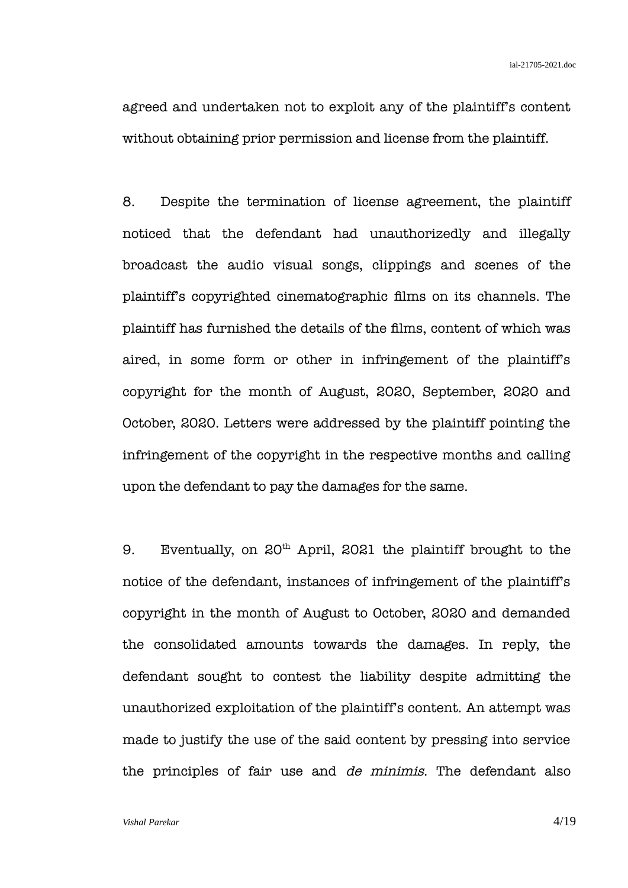agreed and undertaken not to exploit any of the plaintiff's content without obtaining prior permission and license from the plaintiff.

8. Despite the termination of license agreement, the plaintiff noticed that the defendant had unauthorizedly and illegally broadcast the audio visual songs, clippings and scenes of the plaintiff's copyrighted cinematographic films on its channels. The plaintiff has furnished the details of the films, content of which was aired, in some form or other in infringement of the plaintiff's copyright for the month of August, 2020, September, 2020 and October, 2020. Letters were addressed by the plaintiff pointing the infringement of the copyright in the respective months and calling upon the defendant to pay the damages for the same.

9. Eventually, on  $20<sup>th</sup>$  April, 2021 the plaintiff brought to the notice of the defendant, instances of infringement of the plaintiff's copyright in the month of August to October, 2020 and demanded the consolidated amounts towards the damages. In reply, the defendant sought to contest the liability despite admitting the unauthorized exploitation of the plaintiff's content. An attempt was made to justify the use of the said content by pressing into service the principles of fair use and de minimis. The defendant also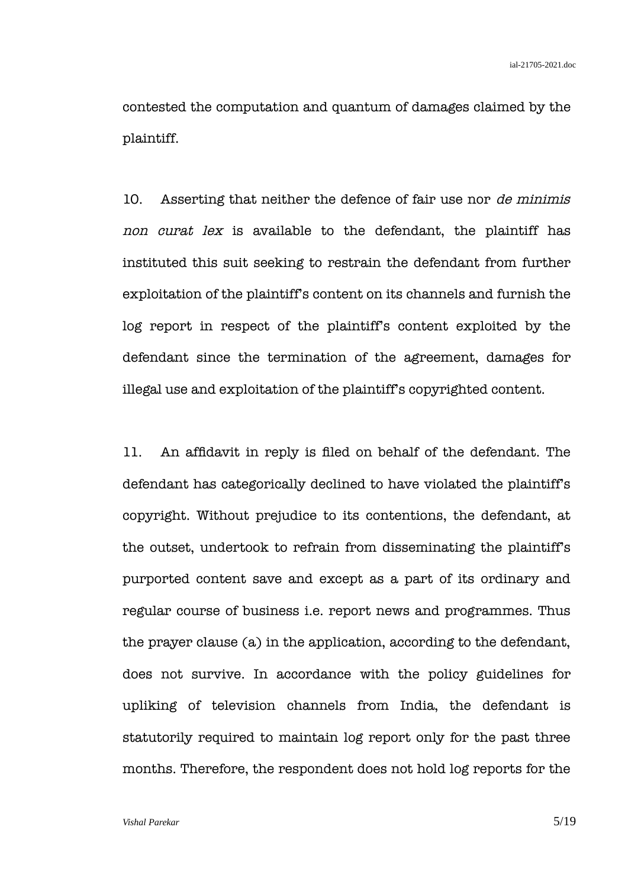contested the computation and quantum of damages claimed by the plaintiff.

10. Asserting that neither the defence of fair use nor de minimis non curat lex is available to the defendant, the plaintiff has instituted this suit seeking to restrain the defendant from further exploitation of the plaintiff's content on its channels and furnish the log report in respect of the plaintiff's content exploited by the defendant since the termination of the agreement, damages for illegal use and exploitation of the plaintiff's copyrighted content.

11. An affidavit in reply is filed on behalf of the defendant. The defendant has categorically declined to have violated the plaintiff's copyright. Without prejudice to its contentions, the defendant, at the outset, undertook to refrain from disseminating the plaintiff's purported content save and except as a part of its ordinary and regular course of business i.e. report news and programmes. Thus the prayer clause (a) in the application, according to the defendant, does not survive. In accordance with the policy guidelines for upliking of television channels from India, the defendant is statutorily required to maintain log report only for the past three months. Therefore, the respondent does not hold log reports for the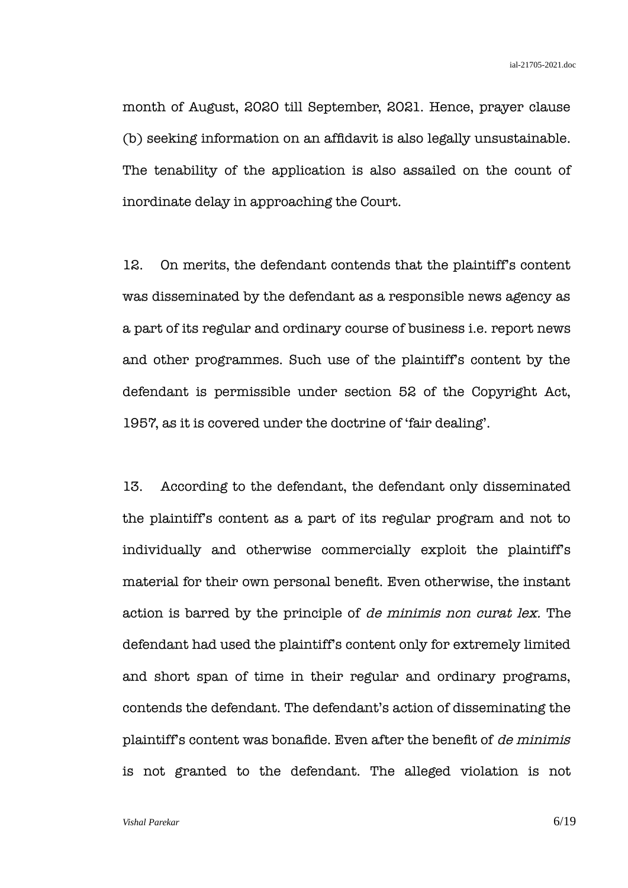month of August, 2020 till September, 2021. Hence, prayer clause (b) seeking information on an affidavit is also legally unsustainable. The tenability of the application is also assailed on the count of inordinate delay in approaching the Court.

12. On merits, the defendant contends that the plaintiff's content was disseminated by the defendant as a responsible news agency as a part of its regular and ordinary course of business i.e. report news and other programmes. Such use of the plaintiff's content by the defendant is permissible under section 52 of the Copyright Act, 1957, as it is covered under the doctrine of 'fair dealing'.

13. According to the defendant, the defendant only disseminated the plaintiff's content as a part of its regular program and not to individually and otherwise commercially exploit the plaintiff's material for their own personal benefit. Even otherwise, the instant action is barred by the principle of de minimis non curat lex. The defendant had used the plaintiff's content only for extremely limited and short span of time in their regular and ordinary programs, contends the defendant. The defendant's action of disseminating the plaintiff's content was bonafide. Even after the benefit of de minimis is not granted to the defendant. The alleged violation is not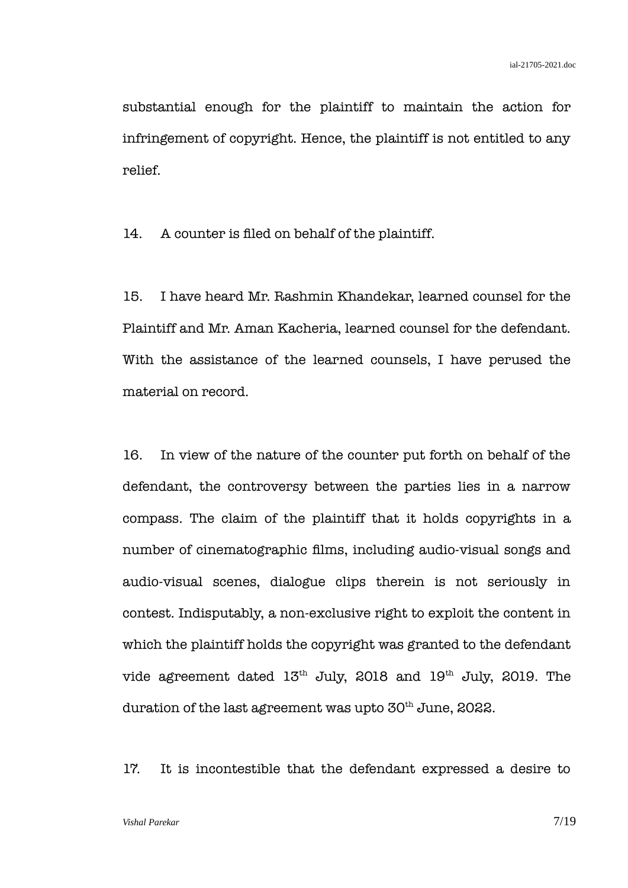substantial enough for the plaintiff to maintain the action for infringement of copyright. Hence, the plaintiff is not entitled to any relief.

14. A counter is filed on behalf of the plaintiff.

15. I have heard Mr. Rashmin Khandekar, learned counsel for the Plaintiff and Mr. Aman Kacheria, learned counsel for the defendant. With the assistance of the learned counsels, I have perused the material on record.

16. In view of the nature of the counter put forth on behalf of the defendant, the controversy between the parties lies in a narrow compass. The claim of the plaintiff that it holds copyrights in a number of cinematographic films, including audio-visual songs and audio-visual scenes, dialogue clips therein is not seriously in contest. Indisputably, a non-exclusive right to exploit the content in which the plaintiff holds the copyright was granted to the defendant vide agreement dated  $13<sup>th</sup>$  July, 2018 and  $19<sup>th</sup>$  July, 2019. The duration of the last agreement was upto  $30<sup>th</sup>$  June, 2022.

17. It is incontestible that the defendant expressed a desire to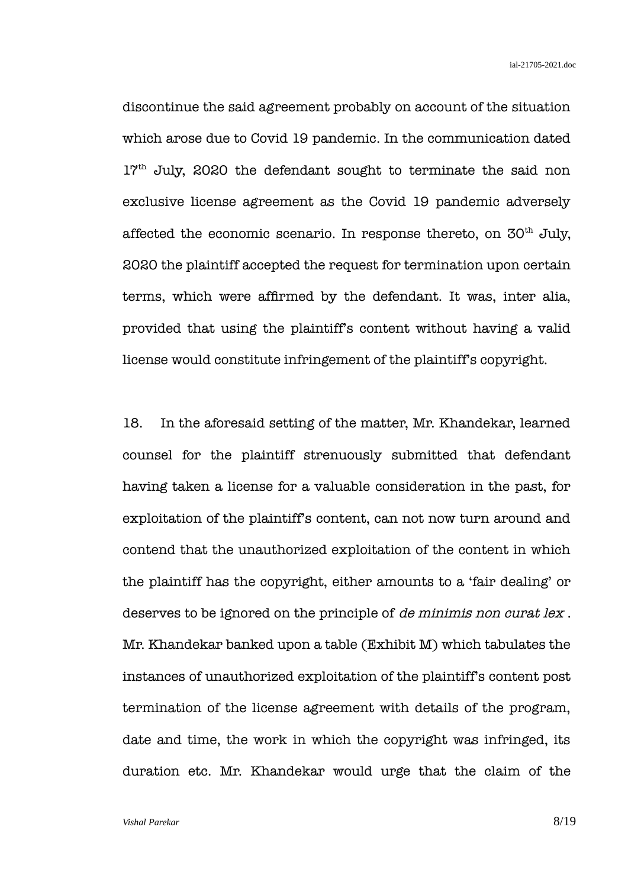discontinue the said agreement probably on account of the situation which arose due to Covid 19 pandemic. In the communication dated 17<sup>th</sup> July, 2020 the defendant sought to terminate the said non exclusive license agreement as the Covid 19 pandemic adversely affected the economic scenario. In response thereto, on  $30<sup>th</sup>$  July, 2020 the plaintiff accepted the request for termination upon certain terms, which were affirmed by the defendant. It was, inter alia, provided that using the plaintiff's content without having a valid license would constitute infringement of the plaintiff's copyright.

18. In the aforesaid setting of the matter, Mr. Khandekar, learned counsel for the plaintiff strenuously submitted that defendant having taken a license for a valuable consideration in the past, for exploitation of the plaintiff's content, can not now turn around and contend that the unauthorized exploitation of the content in which the plaintiff has the copyright, either amounts to a 'fair dealing' or deserves to be ignored on the principle of de minimis non curat lex. Mr. Khandekar banked upon a table (Exhibit M) which tabulates the instances of unauthorized exploitation of the plaintiff's content post termination of the license agreement with details of the program, date and time, the work in which the copyright was infringed, its duration etc. Mr. Khandekar would urge that the claim of the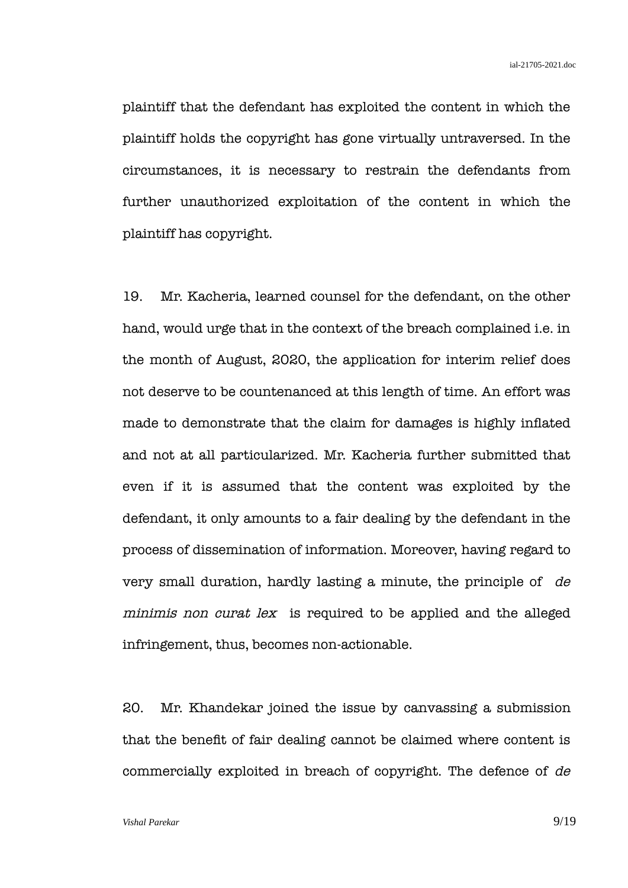plaintiff that the defendant has exploited the content in which the plaintiff holds the copyright has gone virtually untraversed. In the circumstances, it is necessary to restrain the defendants from further unauthorized exploitation of the content in which the plaintiff has copyright.

19. Mr. Kacheria, learned counsel for the defendant, on the other hand, would urge that in the context of the breach complained i.e. in the month of August, 2020, the application for interim relief does not deserve to be countenanced at this length of time. An effort was made to demonstrate that the claim for damages is highly inflated and not at all particularized. Mr. Kacheria further submitted that even if it is assumed that the content was exploited by the defendant, it only amounts to a fair dealing by the defendant in the process of dissemination of information. Moreover, having regard to very small duration, hardly lasting a minute, the principle of de minimis non curat lex is required to be applied and the alleged infringement, thus, becomes non-actionable.

20. Mr. Khandekar joined the issue by canvassing a submission that the benefit of fair dealing cannot be claimed where content is commercially exploited in breach of copyright. The defence of de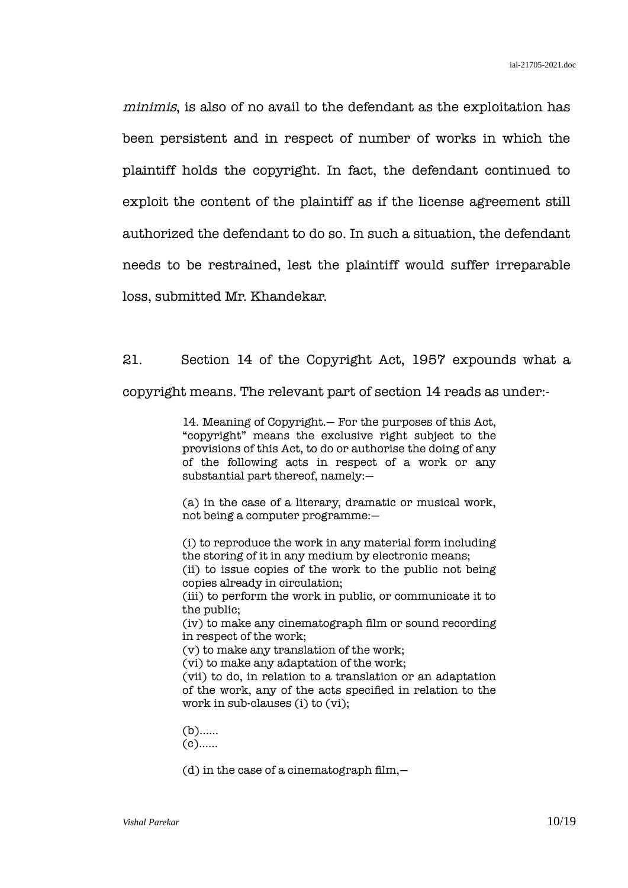minimis, is also of no avail to the defendant as the exploitation has been persistent and in respect of number of works in which the plaintiff holds the copyright. In fact, the defendant continued to exploit the content of the plaintiff as if the license agreement still authorized the defendant to do so. In such a situation, the defendant needs to be restrained, lest the plaintiff would suffer irreparable loss, submitted Mr. Khandekar.

21. Section 14 of the Copyright Act, 1957 expounds what a copyright means. The relevant part of section 14 reads as under:-

> 14. Meaning of Copyright.— For the purposes of this Act, "copyright" means the exclusive right subject to the provisions of this Act, to do or authorise the doing of any of the following acts in respect of a work or any substantial part thereof, namely:—

> (a) in the case of a literary, dramatic or musical work, not being a computer programme:—

(i) to reproduce the work in any material form including the storing of it in any medium by electronic means; (ii) to issue copies of the work to the public not being copies already in circulation; (iii) to perform the work in public, or communicate it to

the public; (iv) to make any cinematograph film or sound recording in respect of the work;

(v) to make any translation of the work;

(vi) to make any adaptation of the work;

(vii) to do, in relation to a translation or an adaptation of the work, any of the acts specified in relation to the work in sub-clauses (i) to (vi);

(b)…… (c)……

 $(d)$  in the case of a cinematograph film, $-$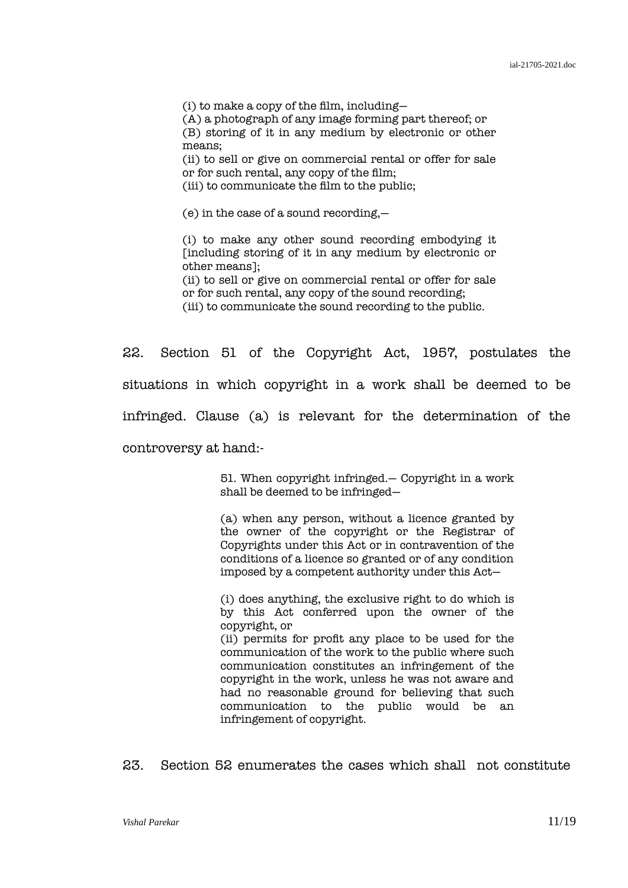(i) to make a copy of the film, including—

(A) a photograph of any image forming part thereof; or

(B) storing of it in any medium by electronic or other means;

(ii) to sell or give on commercial rental or offer for sale or for such rental, any copy of the film;

(iii) to communicate the film to the public;

(e) in the case of a sound recording,—

(i) to make any other sound recording embodying it [including storing of it in any medium by electronic or other means];

(ii) to sell or give on commercial rental or offer for sale or for such rental, any copy of the sound recording; (iii) to communicate the sound recording to the public.

22. Section 51 of the Copyright Act, 1957, postulates the situations in which copyright in a work shall be deemed to be infringed. Clause (a) is relevant for the determination of the controversy at hand:-

> 51. When copyright infringed.— Copyright in a work shall be deemed to be infringed—

> (a) when any person, without a licence granted by the owner of the copyright or the Registrar of Copyrights under this Act or in contravention of the conditions of a licence so granted or of any condition imposed by a competent authority under this Act—

> (i) does anything, the exclusive right to do which is by this Act conferred upon the owner of the copyright, or (ii) permits for profit any place to be used for the

> communication of the work to the public where such communication constitutes an infringement of the copyright in the work, unless he was not aware and had no reasonable ground for believing that such communication to the public would be an infringement of copyright.

23. Section 52 enumerates the cases which shall not constitute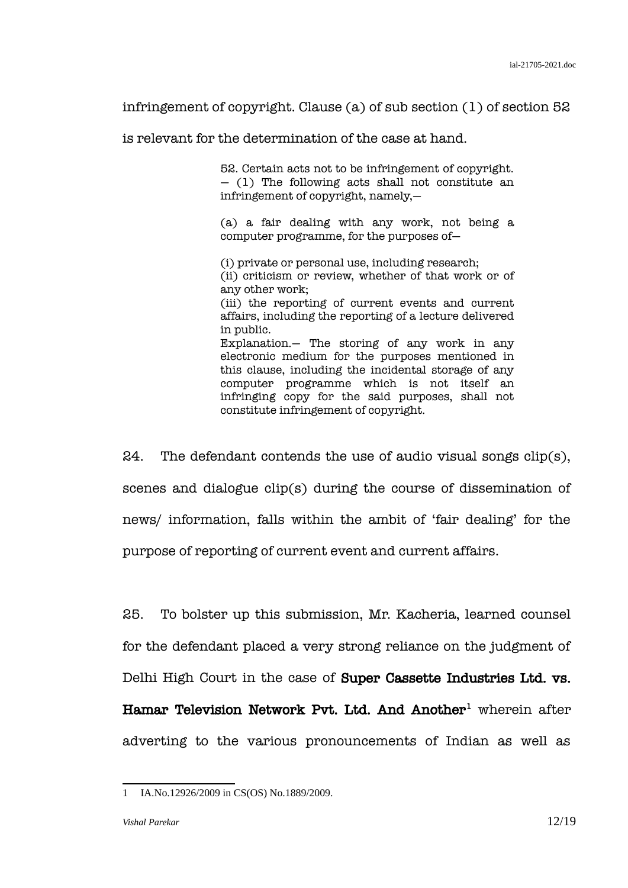infringement of copyright. Clause (a) of sub section (1) of section 52

is relevant for the determination of the case at hand.

52. Certain acts not to be infringement of copyright.  $-$  (1) The following acts shall not constitute an infringement of copyright, namely,—

(a) a fair dealing with any work, not being a computer programme, for the purposes of—

(i) private or personal use, including research; (ii) criticism or review, whether of that work or of any other work; (iii) the reporting of current events and current affairs, including the reporting of a lecture delivered in public. Explanation.— The storing of any work in any electronic medium for the purposes mentioned in this clause, including the incidental storage of any computer programme which is not itself an infringing copy for the said purposes, shall not constitute infringement of copyright.

24. The defendant contends the use of audio visual songs  $clip(s)$ , scenes and dialogue clip(s) during the course of dissemination of news/ information, falls within the ambit of 'fair dealing' for the purpose of reporting of current event and current affairs.

25. To bolster up this submission, Mr. Kacheria, learned counsel for the defendant placed a very strong reliance on the judgment of Delhi High Court in the case of Super Cassette Industries Ltd. vs.  $\,$  Hamar Television Network Pvt. Ltd. And Another $^1$  $^1$  wherein after adverting to the various pronouncements of Indian as well as

<span id="page-11-0"></span><sup>1</sup> IA.No.12926/2009 in CS(OS) No.1889/2009.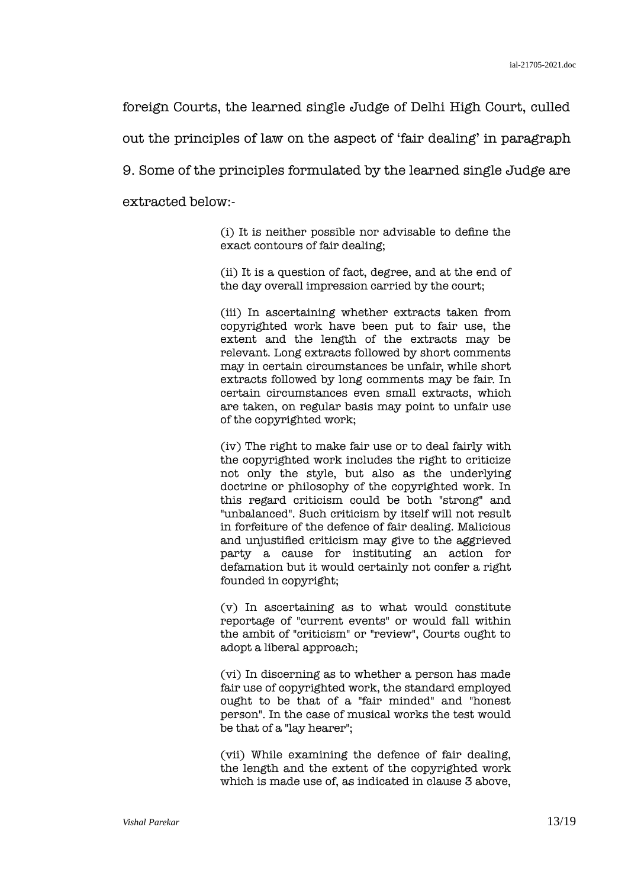foreign Courts, the learned single Judge of Delhi High Court, culled

out the principles of law on the aspect of 'fair dealing' in paragraph

9. Some of the principles formulated by the learned single Judge are

extracted below:-

(i) It is neither possible nor advisable to define the exact contours of fair dealing;

(ii) It is a question of fact, degree, and at the end of the day overall impression carried by the court;

(iii) In ascertaining whether extracts taken from copyrighted work have been put to fair use, the extent and the length of the extracts may be relevant. Long extracts followed by short comments may in certain circumstances be unfair, while short extracts followed by long comments may be fair. In certain circumstances even small extracts, which are taken, on regular basis may point to unfair use of the copyrighted work;

(iv) The right to make fair use or to deal fairly with the copyrighted work includes the right to criticize not only the style, but also as the underlying doctrine or philosophy of the copyrighted work. In this regard criticism could be both "strong" and "unbalanced". Such criticism by itself will not result in forfeiture of the defence of fair dealing. Malicious and unjustified criticism may give to the aggrieved party a cause for instituting an action for defamation but it would certainly not confer a right founded in copyright;

(v) In ascertaining as to what would constitute reportage of "current events" or would fall within the ambit of "criticism" or "review", Courts ought to adopt a liberal approach;

(vi) In discerning as to whether a person has made fair use of copyrighted work, the standard employed ought to be that of a "fair minded" and "honest person". In the case of musical works the test would be that of a "lay hearer";

(vii) While examining the defence of fair dealing, the length and the extent of the copyrighted work which is made use of, as indicated in clause 3 above,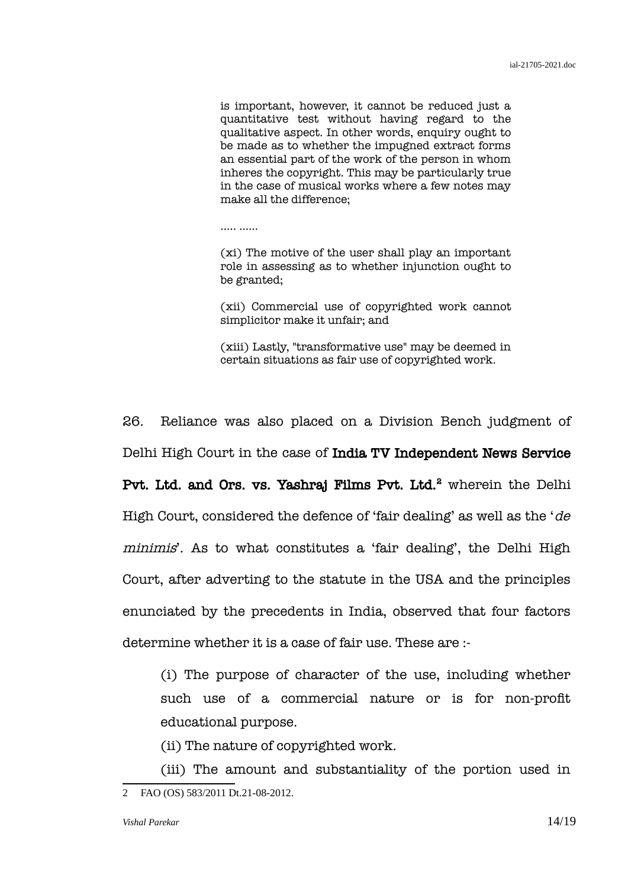is important, however, it cannot be reduced just a quantitative test without having regard to the qualitative aspect. In other words, enquiry ought to be made as to whether the impugned extract forms an essential part of the work of the person in whom inheres the copyright. This may be particularly true in the case of musical works where a few notes may make all the difference;

………

(xi) The motive of the user shall play an important role in assessing as to whether injunction ought to be granted;

(xii) Commercial use of copyrighted work cannot simplicitor make it unfair; and

(xiii) Lastly, "transformative use" may be deemed in certain situations as fair use of copyrighted work.

26. Reliance was also placed on a Division Bench judgment of Delhi High Court in the case of India TV Independent News Service

Pvt. Ltd. and Ors. vs. Yashraj Films Pvt. Ltd.<sup>[2](#page-13-0)</sup> wherein the Delhi High Court, considered the defence of 'fair dealing' as well as the 'de minimis'. As to what constitutes a 'fair dealing', the Delhi High Court, after adverting to the statute in the USA and the principles enunciated by the precedents in India, observed that four factors determine whether it is a case of fair use. These are :-

(i) The purpose of character of the use, including whether such use of a commercial nature or is for non-profit educational purpose.

(ii) The nature of copyrighted work.

<span id="page-13-0"></span>(iii) The amount and substantiality of the portion used in 2 FAO (OS) 583/2011 Dt.21-08-2012.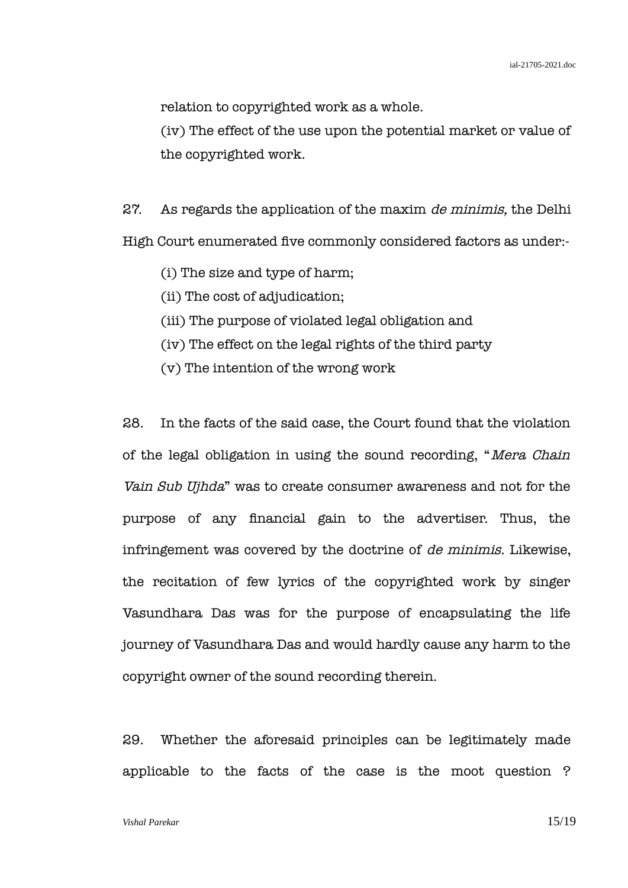relation to copyrighted work as a whole.

(iv) The effect of the use upon the potential market or value of the copyrighted work.

27. As regards the application of the maxim de minimis, the Delhi High Court enumerated five commonly considered factors as under:-

- (i) The size and type of harm;
- (ii) The cost of adjudication;
- (iii) The purpose of violated legal obligation and
- (iv) The effect on the legal rights of the third party
- (v) The intention of the wrong work

28. In the facts of the said case, the Court found that the violation of the legal obligation in using the sound recording, "Mera Chain Vain Sub Ujhda" was to create consumer awareness and not for the purpose of any financial gain to the advertiser. Thus, the infringement was covered by the doctrine of de minimis. Likewise, the recitation of few lyrics of the copyrighted work by singer Vasundhara Das was for the purpose of encapsulating the life journey of Vasundhara Das and would hardly cause any harm to the copyright owner of the sound recording therein.

29. Whether the aforesaid principles can be legitimately made applicable to the facts of the case is the moot question ?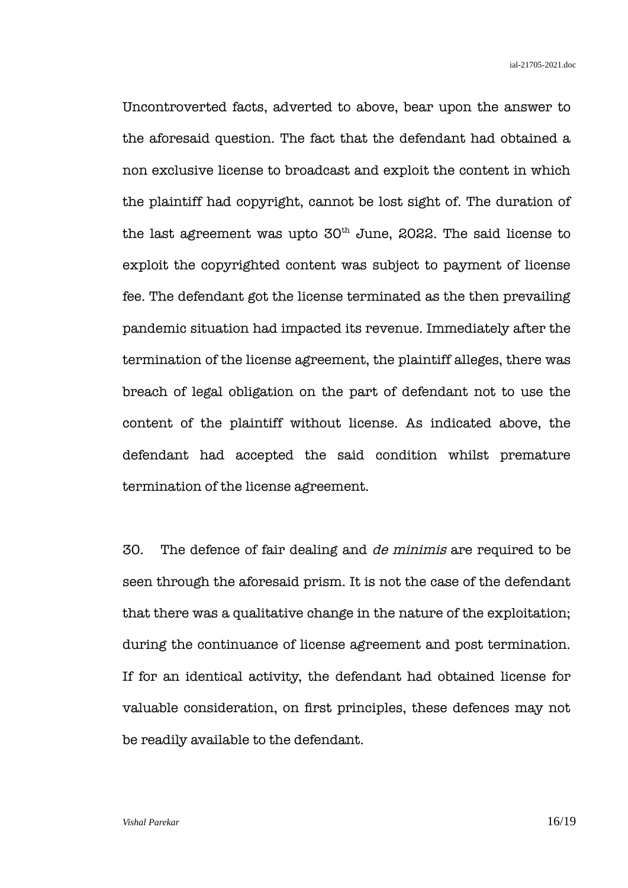Uncontroverted facts, adverted to above, bear upon the answer to the aforesaid question. The fact that the defendant had obtained a non exclusive license to broadcast and exploit the content in which the plaintiff had copyright, cannot be lost sight of. The duration of the last agreement was upto  $50<sup>th</sup>$  June, 2022. The said license to exploit the copyrighted content was subject to payment of license fee. The defendant got the license terminated as the then prevailing pandemic situation had impacted its revenue. Immediately after the termination of the license agreement, the plaintiff alleges, there was breach of legal obligation on the part of defendant not to use the content of the plaintiff without license. As indicated above, the defendant had accepted the said condition whilst premature termination of the license agreement.

30. The defence of fair dealing and de minimis are required to be seen through the aforesaid prism. It is not the case of the defendant that there was a qualitative change in the nature of the exploitation; during the continuance of license agreement and post termination. If for an identical activity, the defendant had obtained license for valuable consideration, on first principles, these defences may not be readily available to the defendant.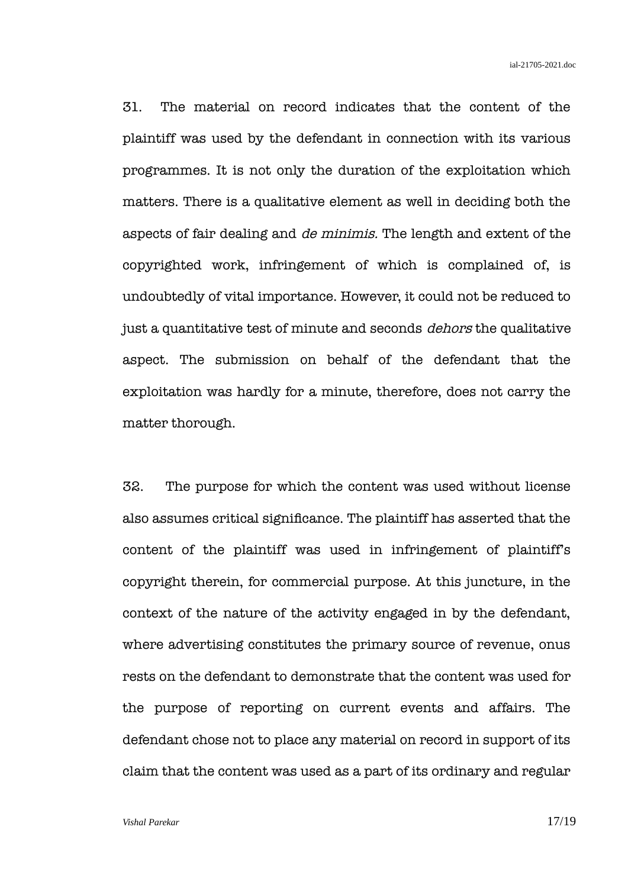31. The material on record indicates that the content of the plaintiff was used by the defendant in connection with its various programmes. It is not only the duration of the exploitation which matters. There is a qualitative element as well in deciding both the aspects of fair dealing and de minimis. The length and extent of the copyrighted work, infringement of which is complained of, is undoubtedly of vital importance. However, it could not be reduced to just a quantitative test of minute and seconds *dehors* the qualitative aspect. The submission on behalf of the defendant that the exploitation was hardly for a minute, therefore, does not carry the matter thorough.

32. The purpose for which the content was used without license also assumes critical significance. The plaintiff has asserted that the content of the plaintiff was used in infringement of plaintiff's copyright therein, for commercial purpose. At this juncture, in the context of the nature of the activity engaged in by the defendant, where advertising constitutes the primary source of revenue, onus rests on the defendant to demonstrate that the content was used for the purpose of reporting on current events and affairs. The defendant chose not to place any material on record in support of its claim that the content was used as a part of its ordinary and regular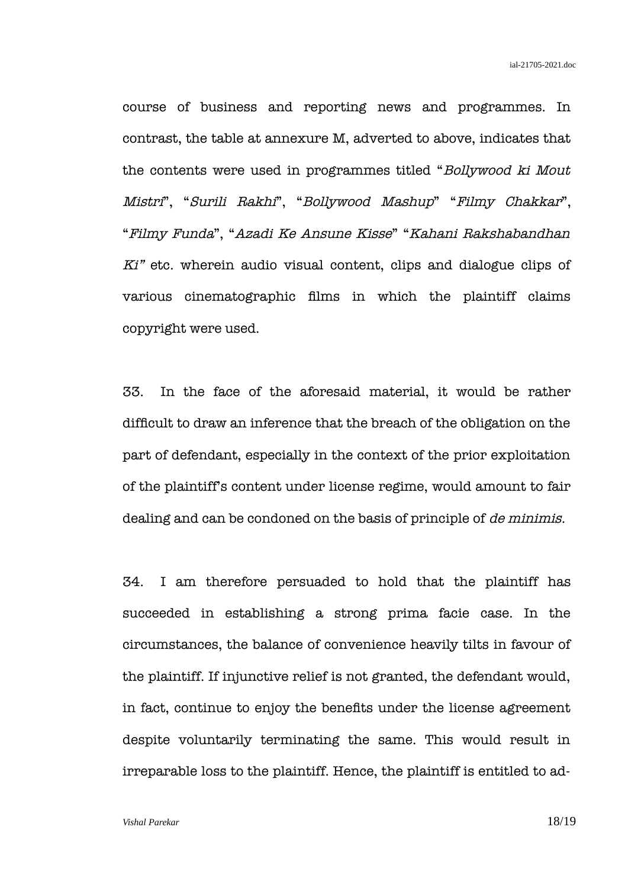course of business and reporting news and programmes. In contrast, the table at annexure M, adverted to above, indicates that the contents were used in programmes titled "Bollywood ki Mout Mistri", "Surili Rakhi", "Bollywood Mashup" "Filmy Chakkar", "Filmy Funda", "Azadi Ke Ansune Kisse" "Kahani Rakshabandhan Ki" etc. wherein audio visual content, clips and dialogue clips of various cinematographic films in which the plaintiff claims copyright were used.

33. In the face of the aforesaid material, it would be rather difficult to draw an inference that the breach of the obligation on the part of defendant, especially in the context of the prior exploitation of the plaintiff's content under license regime, would amount to fair dealing and can be condoned on the basis of principle of de minimis.

34. I am therefore persuaded to hold that the plaintiff has succeeded in establishing a strong prima facie case. In the circumstances, the balance of convenience heavily tilts in favour of the plaintiff. If injunctive relief is not granted, the defendant would, in fact, continue to enjoy the benefits under the license agreement despite voluntarily terminating the same. This would result in irreparable loss to the plaintiff. Hence, the plaintiff is entitled to ad